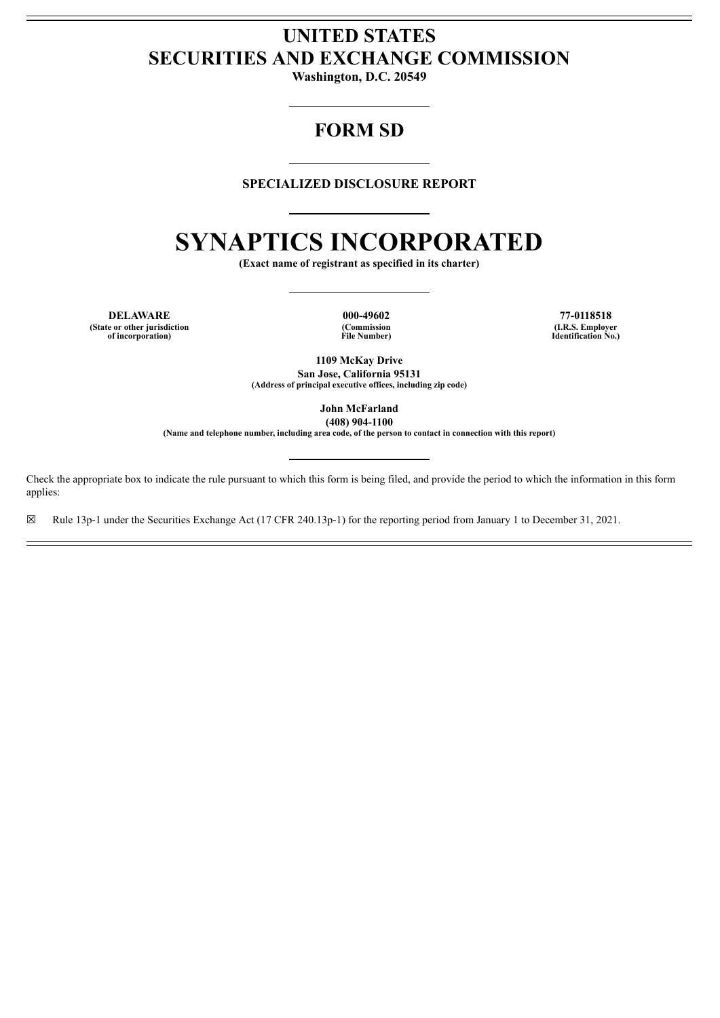# **UNITED STATES SECURITIES AND EXCHANGE COMMISSION**

**Washington, D.C. 20549**

# **FORM SD**

# **SPECIALIZED DISCLOSURE REPORT**

# **SYNAPTICS INCORPORATED**

**(Exact name of registrant as specified in its charter)**

**DELAWARE 000-49602 77-0118518 (State or other jurisdiction of incorporation)**

**(Commission File Number)**

**(I.R.S. Employer Identification No.)**

**1109 McKay Drive San Jose, California 95131 (Address of principal executive offices, including zip code)**

> **John McFarland (408) 904-1100**

**(Name and telephone number, including area code, of the person to contact in connection with this report)**

Check the appropriate box to indicate the rule pursuant to which this form is being filed, and provide the period to which the information in this form applies:

☒ Rule 13p-1 under the Securities Exchange Act (17 CFR 240.13p-1) for the reporting period from January 1 to December 31, 2021.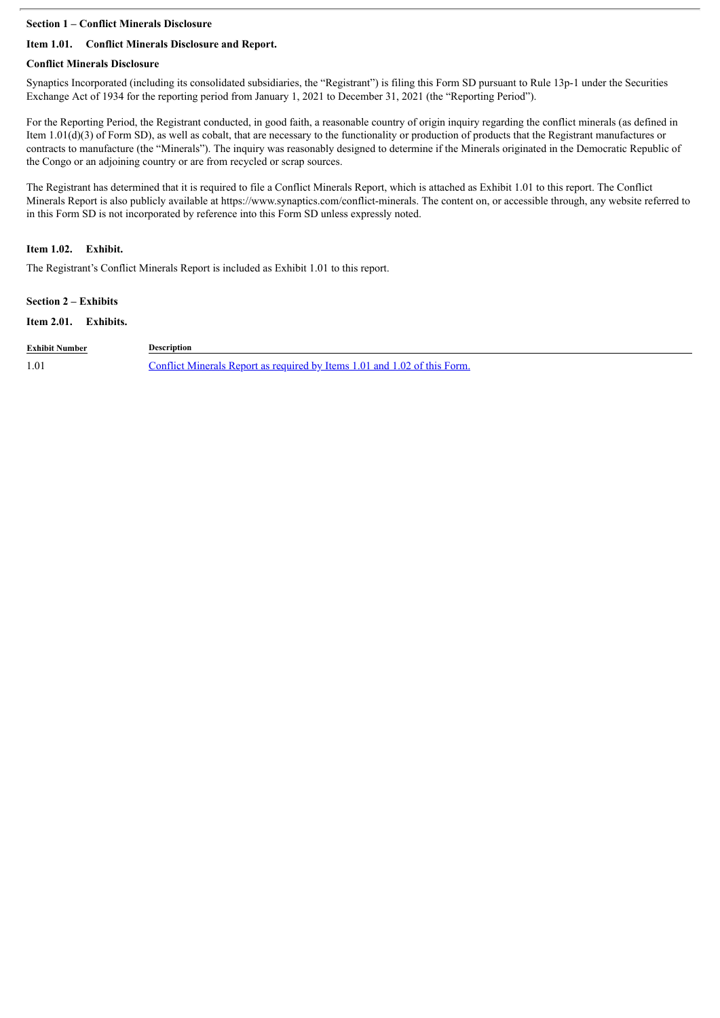#### **Section 1 – Conflict Minerals Disclosure**

# **Item 1.01. Conflict Minerals Disclosure and Report.**

#### **Conflict Minerals Disclosure**

Synaptics Incorporated (including its consolidated subsidiaries, the "Registrant") is filing this Form SD pursuant to Rule 13p-1 under the Securities Exchange Act of 1934 for the reporting period from January 1, 2021 to December 31, 2021 (the "Reporting Period").

For the Reporting Period, the Registrant conducted, in good faith, a reasonable country of origin inquiry regarding the conflict minerals (as defined in Item 1.01(d)(3) of Form SD), as well as cobalt, that are necessary to the functionality or production of products that the Registrant manufactures or contracts to manufacture (the "Minerals"). The inquiry was reasonably designed to determine if the Minerals originated in the Democratic Republic of the Congo or an adjoining country or are from recycled or scrap sources.

The Registrant has determined that it is required to file a Conflict Minerals Report, which is attached as Exhibit 1.01 to this report. The Conflict Minerals Report is also publicly available at https://www.synaptics.com/conflict-minerals. The content on, or accessible through, any website referred to in this Form SD is not incorporated by reference into this Form SD unless expressly noted.

## **Item 1.02. Exhibit.**

The Registrant's Conflict Minerals Report is included as Exhibit 1.01 to this report.

#### **Section 2 – Exhibits**

#### **Item 2.01. Exhibits.**

| <b>Exhibit Number</b> | Description                                                              |
|-----------------------|--------------------------------------------------------------------------|
| 1.01                  | Conflict Minerals Report as required by Items 1.01 and 1.02 of this Form |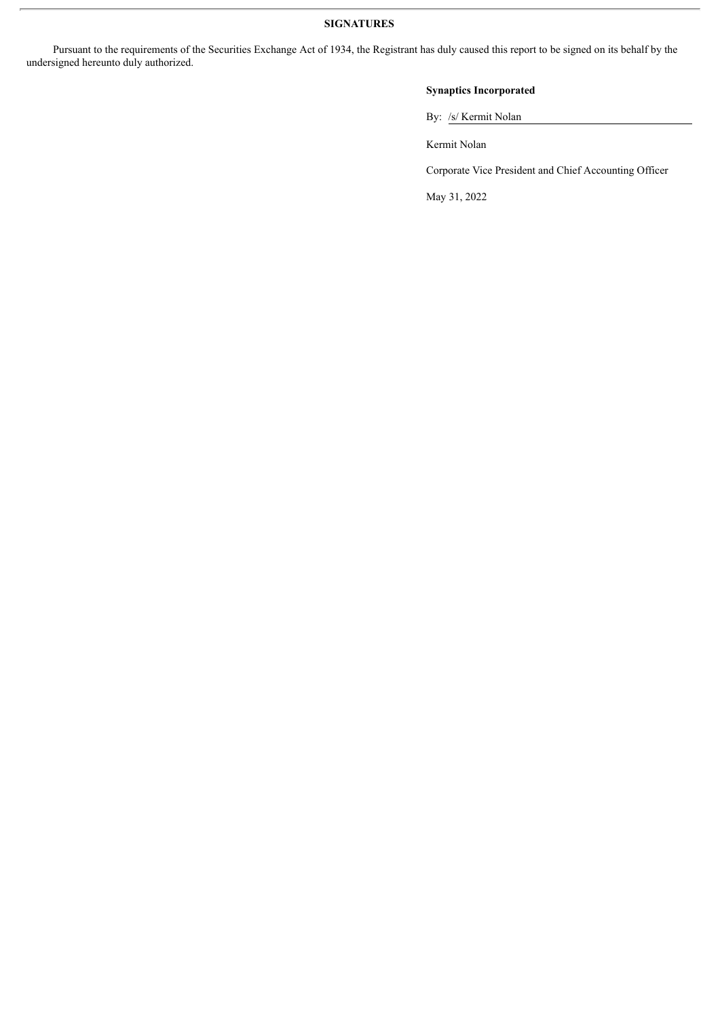### **SIGNATURES**

Pursuant to the requirements of the Securities Exchange Act of 1934, the Registrant has duly caused this report to be signed on its behalf by the undersigned hereunto duly authorized.

# **Synaptics Incorporated**

By: /s/ Kermit Nolan

Kermit Nolan

Corporate Vice President and Chief Accounting Officer

May 31, 2022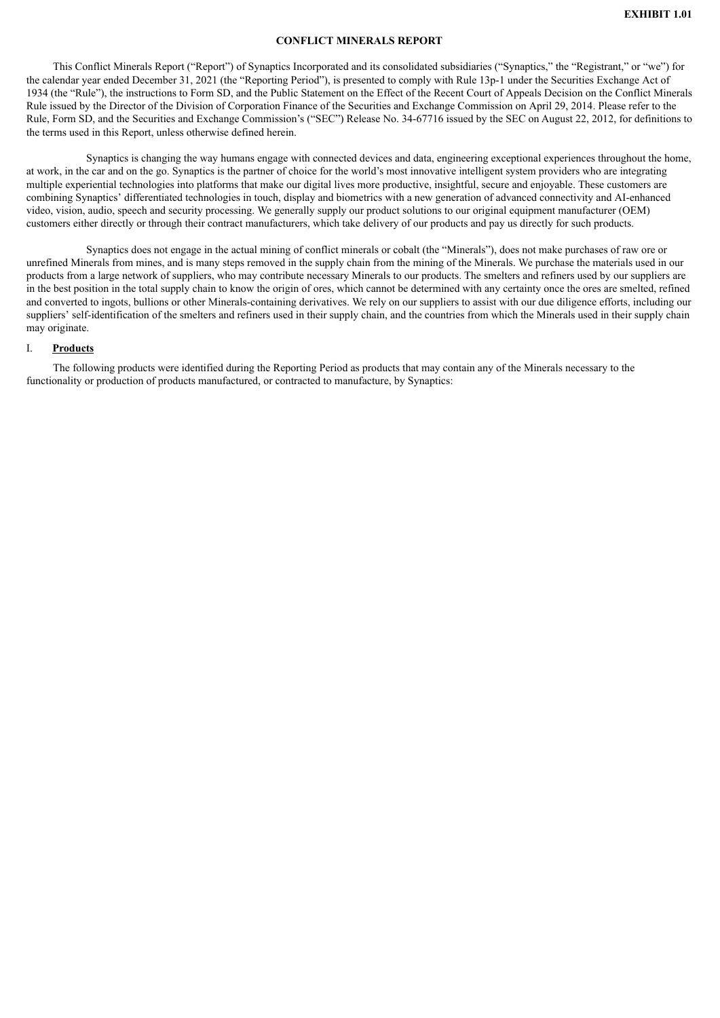#### **CONFLICT MINERALS REPORT**

<span id="page-3-0"></span>This Conflict Minerals Report ("Report") of Synaptics Incorporated and its consolidated subsidiaries ("Synaptics," the "Registrant," or "we") for the calendar year ended December 31, 2021 (the "Reporting Period"), is presented to comply with Rule 13p-1 under the Securities Exchange Act of 1934 (the "Rule"), the instructions to Form SD, and the Public Statement on the Effect of the Recent Court of Appeals Decision on the Conflict Minerals Rule issued by the Director of the Division of Corporation Finance of the Securities and Exchange Commission on April 29, 2014. Please refer to the Rule, Form SD, and the Securities and Exchange Commission's ("SEC") Release No. 34-67716 issued by the SEC on August 22, 2012, for definitions to the terms used in this Report, unless otherwise defined herein.

Synaptics is changing the way humans engage with connected devices and data, engineering exceptional experiences throughout the home, at work, in the car and on the go. Synaptics is the partner of choice for the world's most innovative intelligent system providers who are integrating multiple experiential technologies into platforms that make our digital lives more productive, insightful, secure and enjoyable. These customers are combining Synaptics' differentiated technologies in touch, display and biometrics with a new generation of advanced connectivity and AI-enhanced video, vision, audio, speech and security processing. We generally supply our product solutions to our original equipment manufacturer (OEM) customers either directly or through their contract manufacturers, which take delivery of our products and pay us directly for such products.

Synaptics does not engage in the actual mining of conflict minerals or cobalt (the "Minerals"), does not make purchases of raw ore or unrefined Minerals from mines, and is many steps removed in the supply chain from the mining of the Minerals. We purchase the materials used in our products from a large network of suppliers, who may contribute necessary Minerals to our products. The smelters and refiners used by our suppliers are in the best position in the total supply chain to know the origin of ores, which cannot be determined with any certainty once the ores are smelted, refined and converted to ingots, bullions or other Minerals-containing derivatives. We rely on our suppliers to assist with our due diligence efforts, including our suppliers' self-identification of the smelters and refiners used in their supply chain, and the countries from which the Minerals used in their supply chain may originate.

#### I. **Products**

The following products were identified during the Reporting Period as products that may contain any of the Minerals necessary to the functionality or production of products manufactured, or contracted to manufacture, by Synaptics: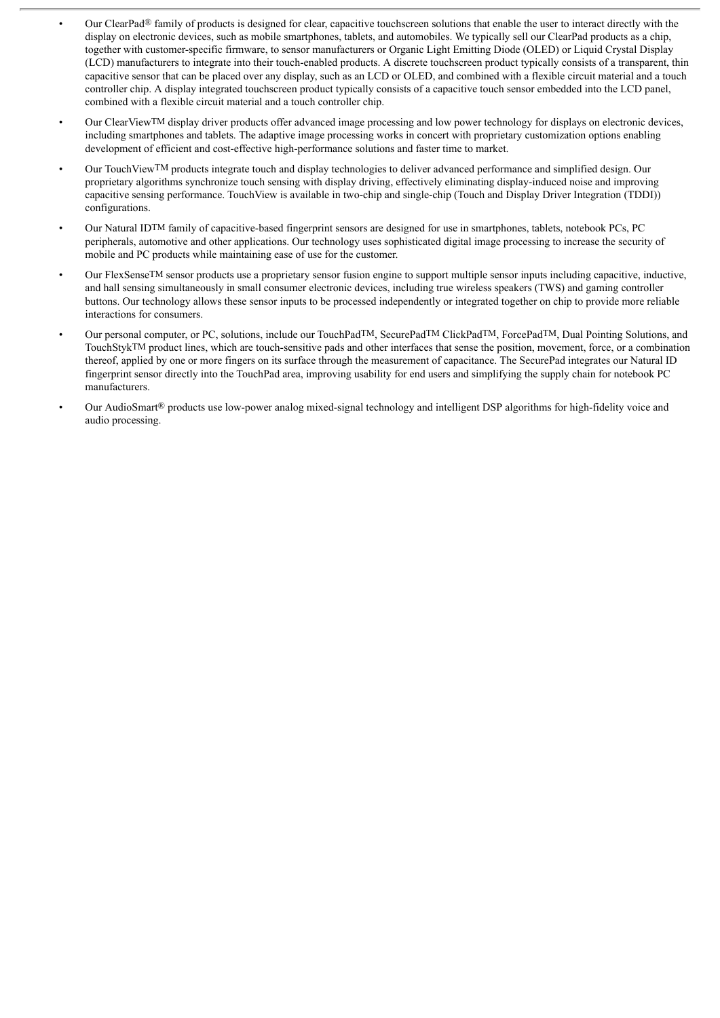- Our ClearPad® family of products is designed for clear, capacitive touchscreen solutions that enable the user to interact directly with the display on electronic devices, such as mobile smartphones, tablets, and automobiles. We typically sell our ClearPad products as a chip. together with customer-specific firmware, to sensor manufacturers or Organic Light Emitting Diode (OLED) or Liquid Crystal Display (LCD) manufacturers to integrate into their touch-enabled products. A discrete touchscreen product typically consists of a transparent, thin capacitive sensor that can be placed over any display, such as an LCD or OLED, and combined with a flexible circuit material and a touch controller chip. A display integrated touchscreen product typically consists of a capacitive touch sensor embedded into the LCD panel, combined with a flexible circuit material and a touch controller chip.
- Our ClearViewTM display driver products offer advanced image processing and low power technology for displays on electronic devices, including smartphones and tablets. The adaptive image processing works in concert with proprietary customization options enabling development of efficient and cost-effective high-performance solutions and faster time to market.
- Our TouchViewTM products integrate touch and display technologies to deliver advanced performance and simplified design. Our proprietary algorithms synchronize touch sensing with display driving, effectively eliminating display-induced noise and improving capacitive sensing performance. TouchView is available in two-chip and single-chip (Touch and Display Driver Integration (TDDI)) configurations.
- Our Natural IDTM family of capacitive-based fingerprint sensors are designed for use in smartphones, tablets, notebook PCs, PC peripherals, automotive and other applications. Our technology uses sophisticated digital image processing to increase the security of mobile and PC products while maintaining ease of use for the customer.
- Our FlexSenseTM sensor products use a proprietary sensor fusion engine to support multiple sensor inputs including capacitive, inductive, and hall sensing simultaneously in small consumer electronic devices, including true wireless speakers (TWS) and gaming controller buttons. Our technology allows these sensor inputs to be processed independently or integrated together on chip to provide more reliable interactions for consumers.
- Our personal computer, or PC, solutions, include our TouchPadTM, SecurePadTM ClickPadTM, ForcePadTM, Dual Pointing Solutions, and TouchStykTM product lines, which are touch-sensitive pads and other interfaces that sense the position, movement, force, or a combination thereof, applied by one or more fingers on its surface through the measurement of capacitance. The SecurePad integrates our Natural ID fingerprint sensor directly into the TouchPad area, improving usability for end users and simplifying the supply chain for notebook PC manufacturers.
- Our AudioSmart® products use low-power analog mixed-signal technology and intelligent DSP algorithms for high-fidelity voice and audio processing.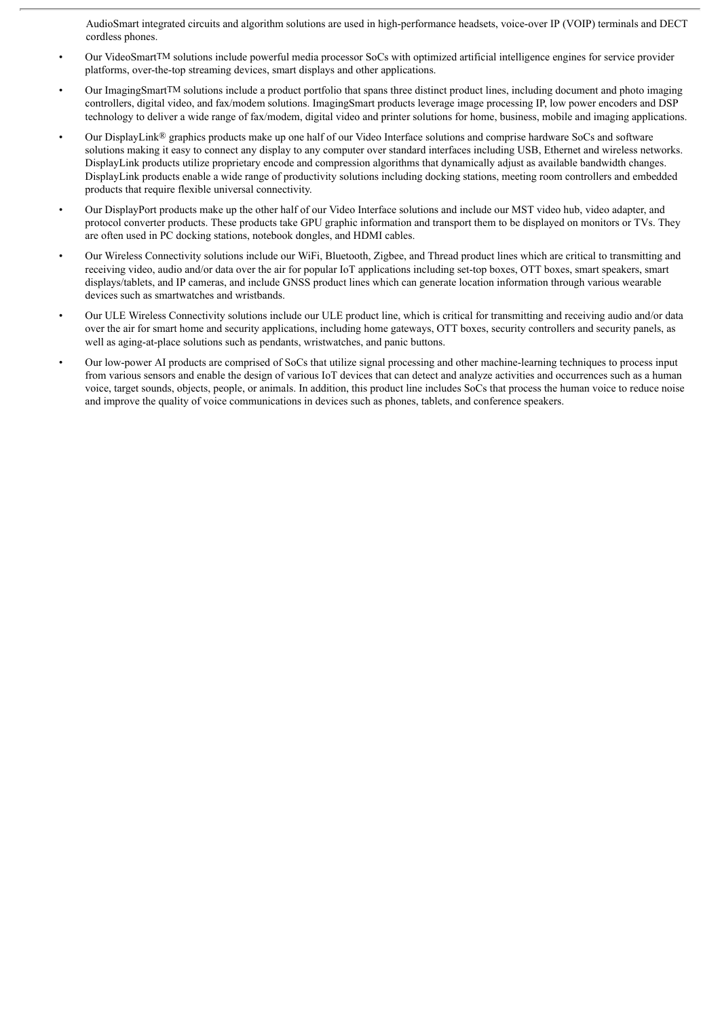AudioSmart integrated circuits and algorithm solutions are used in high-performance headsets, voice-over IP (VOIP) terminals and DECT cordless phones.

- Our VideoSmartTM solutions include powerful media processor SoCs with optimized artificial intelligence engines for service provider platforms, over-the-top streaming devices, smart displays and other applications.
- Our Imaging Smart<sup>TM</sup> solutions include a product portfolio that spans three distinct product lines, including document and photo imaging controllers, digital video, and fax/modem solutions. ImagingSmart products leverage image processing IP, low power encoders and DSP technology to deliver a wide range of fax/modem, digital video and printer solutions for home, business, mobile and imaging applications.
- Our DisplayLink® graphics products make up one half of our Video Interface solutions and comprise hardware SoCs and software solutions making it easy to connect any display to any computer over standard interfaces including USB, Ethernet and wireless networks. DisplayLink products utilize proprietary encode and compression algorithms that dynamically adjust as available bandwidth changes. DisplayLink products enable a wide range of productivity solutions including docking stations, meeting room controllers and embedded products that require flexible universal connectivity.
- Our DisplayPort products make up the other half of our Video Interface solutions and include our MST video hub, video adapter, and protocol converter products. These products take GPU graphic information and transport them to be displayed on monitors or TVs. They are often used in PC docking stations, notebook dongles, and HDMI cables.
- Our Wireless Connectivity solutions include our WiFi, Bluetooth, Zigbee, and Thread product lines which are critical to transmitting and receiving video, audio and/or data over the air for popular IoT applications including set-top boxes, OTT boxes, smart speakers, smart displays/tablets, and IP cameras, and include GNSS product lines which can generate location information through various wearable devices such as smartwatches and wristbands.
- Our ULE Wireless Connectivity solutions include our ULE product line, which is critical for transmitting and receiving audio and/or data over the air for smart home and security applications, including home gateways, OTT boxes, security controllers and security panels, as well as aging-at-place solutions such as pendants, wristwatches, and panic buttons.
- Our low-power AI products are comprised of SoCs that utilize signal processing and other machine-learning techniques to process input from various sensors and enable the design of various IoT devices that can detect and analyze activities and occurrences such as a human voice, target sounds, objects, people, or animals. In addition, this product line includes SoCs that process the human voice to reduce noise and improve the quality of voice communications in devices such as phones, tablets, and conference speakers.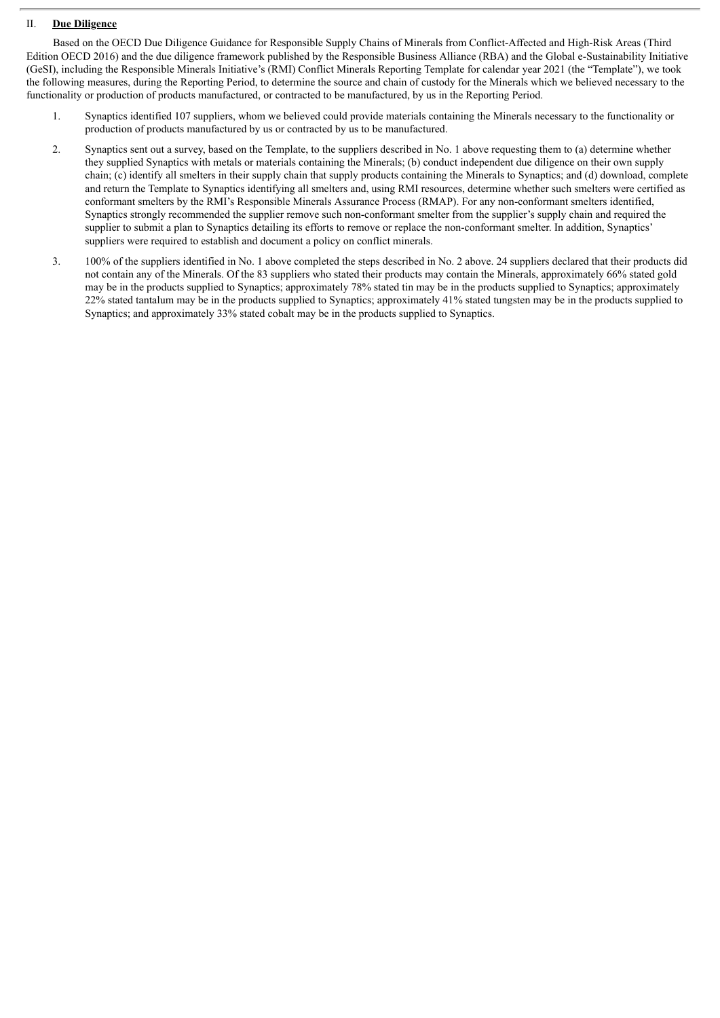## II. **Due Diligence**

Based on the OECD Due Diligence Guidance for Responsible Supply Chains of Minerals from Conflict-Affected and High-Risk Areas (Third Edition OECD 2016) and the due diligence framework published by the Responsible Business Alliance (RBA) and the Global e-Sustainability Initiative (GeSI), including the Responsible Minerals Initiative's (RMI) Conflict Minerals Reporting Template for calendar year 2021 (the "Template"), we took the following measures, during the Reporting Period, to determine the source and chain of custody for the Minerals which we believed necessary to the functionality or production of products manufactured, or contracted to be manufactured, by us in the Reporting Period.

- 1. Synaptics identified 107 suppliers, whom we believed could provide materials containing the Minerals necessary to the functionality or production of products manufactured by us or contracted by us to be manufactured.
- 2. Synaptics sent out a survey, based on the Template, to the suppliers described in No. 1 above requesting them to (a) determine whether they supplied Synaptics with metals or materials containing the Minerals; (b) conduct independent due diligence on their own supply chain; (c) identify all smelters in their supply chain that supply products containing the Minerals to Synaptics; and (d) download, complete and return the Template to Synaptics identifying all smelters and, using RMI resources, determine whether such smelters were certified as conformant smelters by the RMI's Responsible Minerals Assurance Process (RMAP). For any non-conformant smelters identified, Synaptics strongly recommended the supplier remove such non-conformant smelter from the supplier's supply chain and required the supplier to submit a plan to Synaptics detailing its efforts to remove or replace the non-conformant smelter. In addition, Synaptics' suppliers were required to establish and document a policy on conflict minerals.
- 3. 100% of the suppliers identified in No. 1 above completed the steps described in No. 2 above. 24 suppliers declared that their products did not contain any of the Minerals. Of the 83 suppliers who stated their products may contain the Minerals, approximately 66% stated gold may be in the products supplied to Synaptics; approximately 78% stated tin may be in the products supplied to Synaptics; approximately 22% stated tantalum may be in the products supplied to Synaptics; approximately 41% stated tungsten may be in the products supplied to Synaptics; and approximately 33% stated cobalt may be in the products supplied to Synaptics.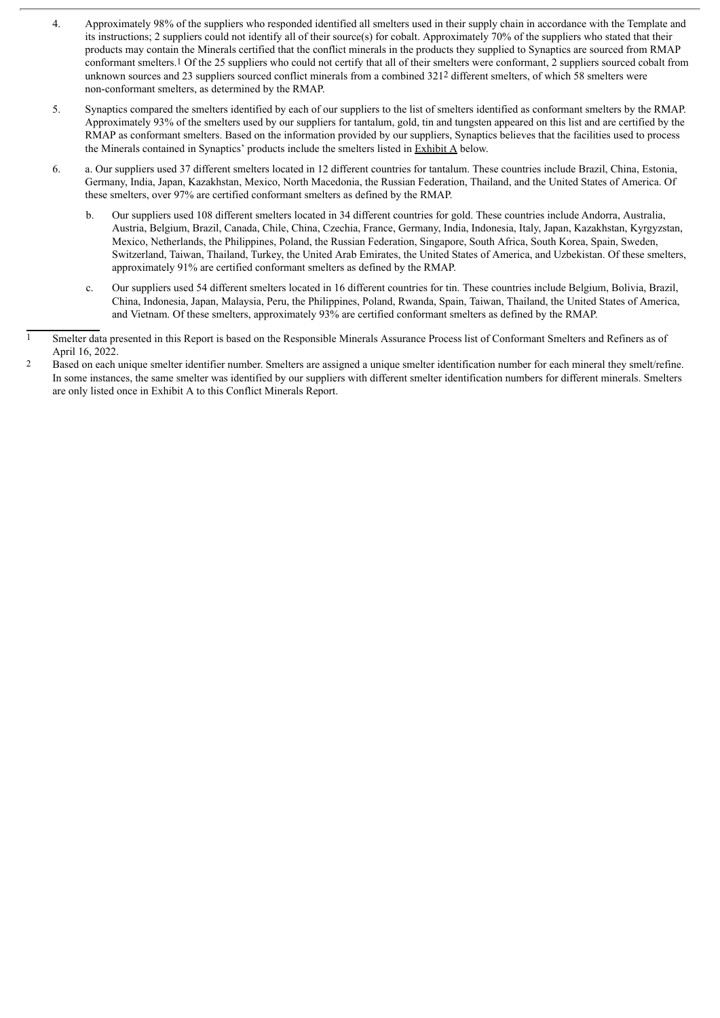- 4. Approximately 98% of the suppliers who responded identified all smelters used in their supply chain in accordance with the Template and its instructions; 2 suppliers could not identify all of their source(s) for cobalt. Approximately 70% of the suppliers who stated that their products may contain the Minerals certified that the conflict minerals in the products they supplied to Synaptics are sourced from RMAP conformant smelters.1 Of the 25 suppliers who could not certify that all of their smelters were conformant, 2 suppliers sourced cobalt from unknown sources and 23 suppliers sourced conflict minerals from a combined 3212 different smelters, of which 58 smelters were non-conformant smelters, as determined by the RMAP.
- 5. Synaptics compared the smelters identified by each of our suppliers to the list of smelters identified as conformant smelters by the RMAP. Approximately 93% of the smelters used by our suppliers for tantalum, gold, tin and tungsten appeared on this list and are certified by the RMAP as conformant smelters. Based on the information provided by our suppliers, Synaptics believes that the facilities used to process the Minerals contained in Synaptics' products include the smelters listed in Exhibit A below.
- 6. a. Our suppliers used 37 different smelters located in 12 different countries for tantalum. These countries include Brazil, China, Estonia, Germany, India, Japan, Kazakhstan, Mexico, North Macedonia, the Russian Federation, Thailand, and the United States of America. Of these smelters, over 97% are certified conformant smelters as defined by the RMAP.
	- b. Our suppliers used 108 different smelters located in 34 different countries for gold. These countries include Andorra, Australia, Austria, Belgium, Brazil, Canada, Chile, China, Czechia, France, Germany, India, Indonesia, Italy, Japan, Kazakhstan, Kyrgyzstan, Mexico, Netherlands, the Philippines, Poland, the Russian Federation, Singapore, South Africa, South Korea, Spain, Sweden, Switzerland, Taiwan, Thailand, Turkey, the United Arab Emirates, the United States of America, and Uzbekistan. Of these smelters, approximately 91% are certified conformant smelters as defined by the RMAP.
	- c. Our suppliers used 54 different smelters located in 16 different countries for tin. These countries include Belgium, Bolivia, Brazil, China, Indonesia, Japan, Malaysia, Peru, the Philippines, Poland, Rwanda, Spain, Taiwan, Thailand, the United States of America, and Vietnam. Of these smelters, approximately 93% are certified conformant smelters as defined by the RMAP.

2 Based on each unique smelter identifier number. Smelters are assigned a unique smelter identification number for each mineral they smelt/refine. In some instances, the same smelter was identified by our suppliers with different smelter identification numbers for different minerals. Smelters are only listed once in Exhibit A to this Conflict Minerals Report.

<sup>1</sup> Smelter data presented in this Report is based on the Responsible Minerals Assurance Process list of Conformant Smelters and Refiners as of April 16, 2022.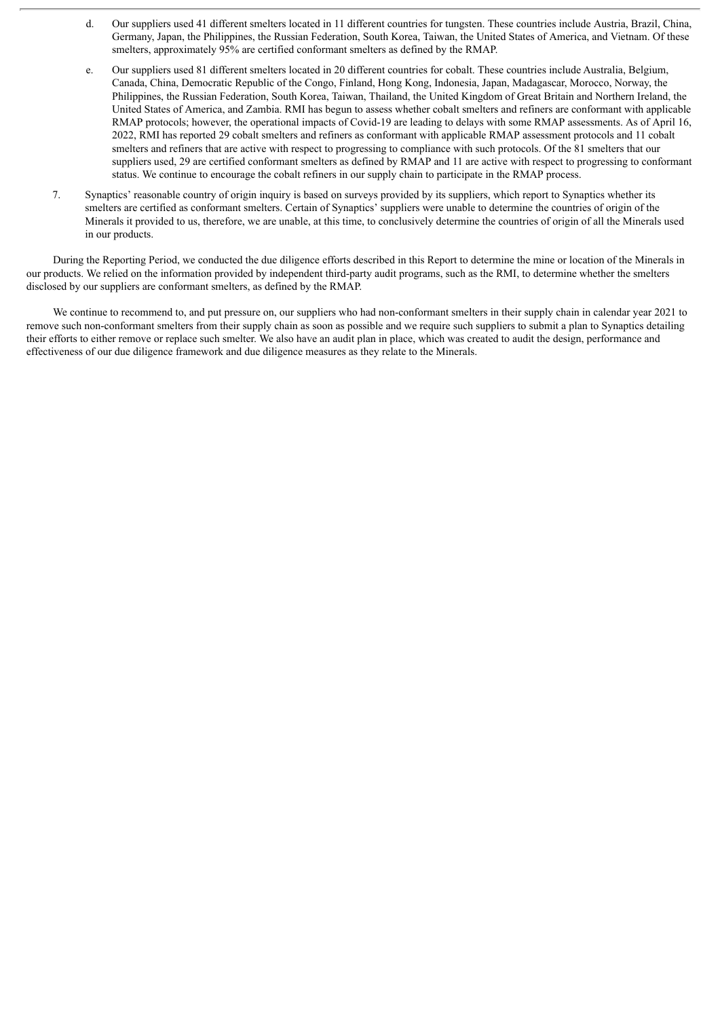- d. Our suppliers used 41 different smelters located in 11 different countries for tungsten. These countries include Austria, Brazil, China, Germany, Japan, the Philippines, the Russian Federation, South Korea, Taiwan, the United States of America, and Vietnam. Of these smelters, approximately 95% are certified conformant smelters as defined by the RMAP.
- e. Our suppliers used 81 different smelters located in 20 different countries for cobalt. These countries include Australia, Belgium, Canada, China, Democratic Republic of the Congo, Finland, Hong Kong, Indonesia, Japan, Madagascar, Morocco, Norway, the Philippines, the Russian Federation, South Korea, Taiwan, Thailand, the United Kingdom of Great Britain and Northern Ireland, the United States of America, and Zambia. RMI has begun to assess whether cobalt smelters and refiners are conformant with applicable RMAP protocols; however, the operational impacts of Covid-19 are leading to delays with some RMAP assessments. As of April 16, 2022, RMI has reported 29 cobalt smelters and refiners as conformant with applicable RMAP assessment protocols and 11 cobalt smelters and refiners that are active with respect to progressing to compliance with such protocols. Of the 81 smelters that our suppliers used, 29 are certified conformant smelters as defined by RMAP and 11 are active with respect to progressing to conformant status. We continue to encourage the cobalt refiners in our supply chain to participate in the RMAP process.
- 7. Synaptics' reasonable country of origin inquiry is based on surveys provided by its suppliers, which report to Synaptics whether its smelters are certified as conformant smelters. Certain of Synaptics' suppliers were unable to determine the countries of origin of the Minerals it provided to us, therefore, we are unable, at this time, to conclusively determine the countries of origin of all the Minerals used in our products.

During the Reporting Period, we conducted the due diligence efforts described in this Report to determine the mine or location of the Minerals in our products. We relied on the information provided by independent third-party audit programs, such as the RMI, to determine whether the smelters disclosed by our suppliers are conformant smelters, as defined by the RMAP.

We continue to recommend to, and put pressure on, our suppliers who had non-conformant smelters in their supply chain in calendar year 2021 to remove such non-conformant smelters from their supply chain as soon as possible and we require such suppliers to submit a plan to Synaptics detailing their efforts to either remove or replace such smelter. We also have an audit plan in place, which was created to audit the design, performance and effectiveness of our due diligence framework and due diligence measures as they relate to the Minerals.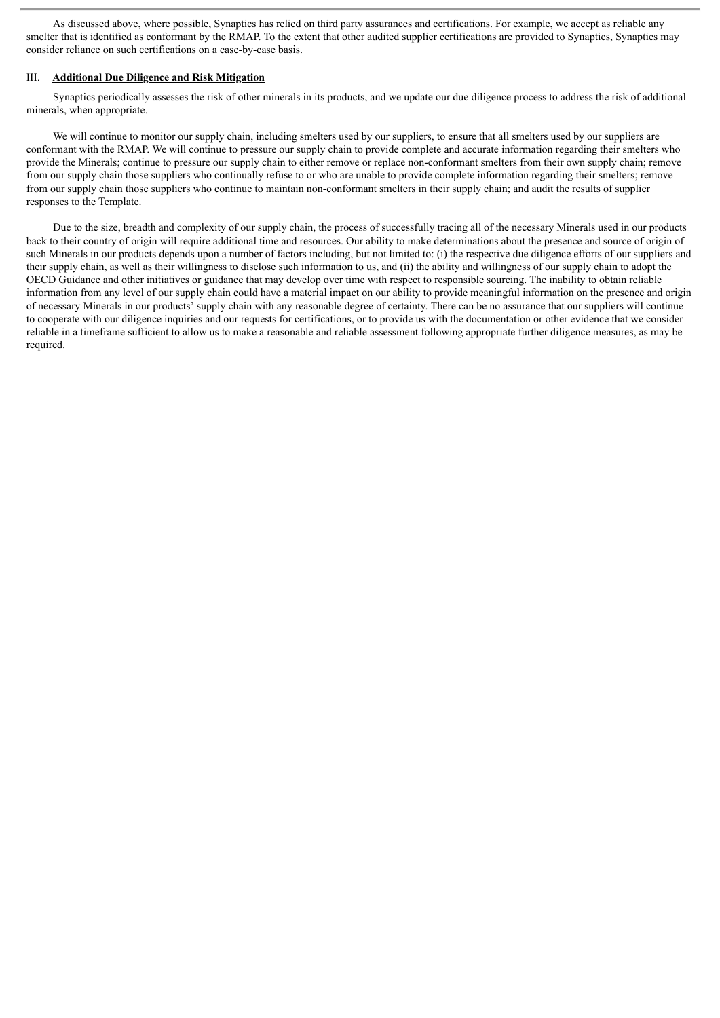As discussed above, where possible, Synaptics has relied on third party assurances and certifications. For example, we accept as reliable any smelter that is identified as conformant by the RMAP. To the extent that other audited supplier certifications are provided to Synaptics, Synaptics may consider reliance on such certifications on a case-by-case basis.

#### III. **Additional Due Diligence and Risk Mitigation**

Synaptics periodically assesses the risk of other minerals in its products, and we update our due diligence process to address the risk of additional minerals, when appropriate.

We will continue to monitor our supply chain, including smelters used by our suppliers, to ensure that all smelters used by our suppliers are conformant with the RMAP. We will continue to pressure our supply chain to provide complete and accurate information regarding their smelters who provide the Minerals; continue to pressure our supply chain to either remove or replace non-conformant smelters from their own supply chain; remove from our supply chain those suppliers who continually refuse to or who are unable to provide complete information regarding their smelters; remove from our supply chain those suppliers who continue to maintain non-conformant smelters in their supply chain; and audit the results of supplier responses to the Template.

Due to the size, breadth and complexity of our supply chain, the process of successfully tracing all of the necessary Minerals used in our products back to their country of origin will require additional time and resources. Our ability to make determinations about the presence and source of origin of such Minerals in our products depends upon a number of factors including, but not limited to: (i) the respective due diligence efforts of our suppliers and their supply chain, as well as their willingness to disclose such information to us, and (ii) the ability and willingness of our supply chain to adopt the OECD Guidance and other initiatives or guidance that may develop over time with respect to responsible sourcing. The inability to obtain reliable information from any level of our supply chain could have a material impact on our ability to provide meaningful information on the presence and origin of necessary Minerals in our products' supply chain with any reasonable degree of certainty. There can be no assurance that our suppliers will continue to cooperate with our diligence inquiries and our requests for certifications, or to provide us with the documentation or other evidence that we consider reliable in a timeframe sufficient to allow us to make a reasonable and reliable assessment following appropriate further diligence measures, as may be required.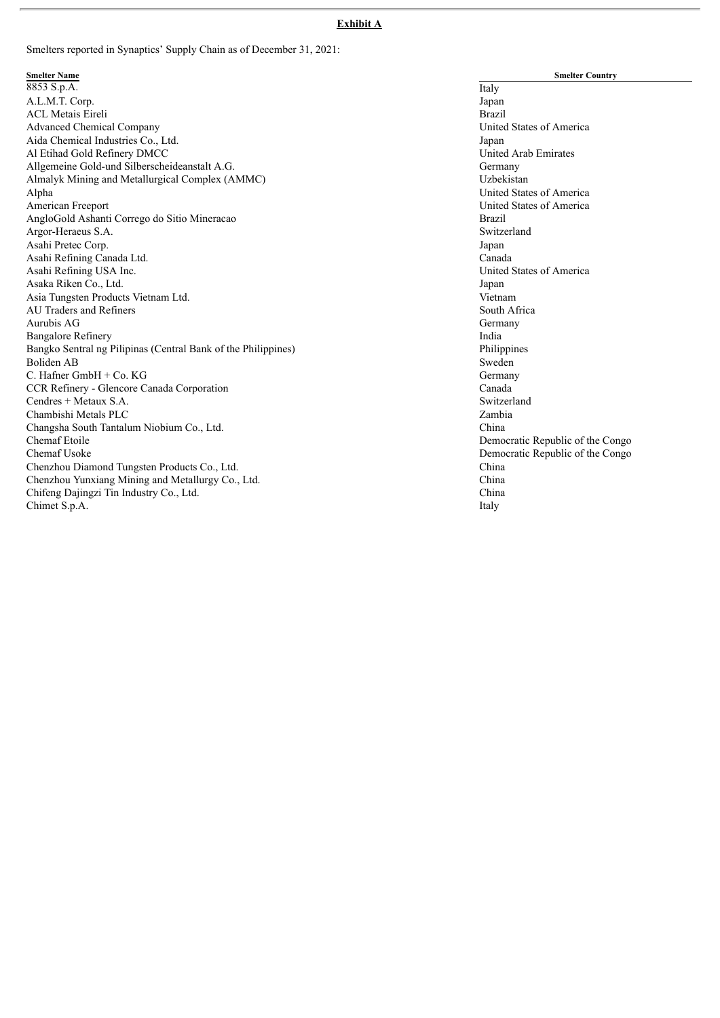#### **Exhibit A**

Smelters reported in Synaptics' Supply Chain as of December 31, 2021:

Smelter Name<br>8853 S.p.A. Italy A.L.M.T. Corp. Japan ACL Metais Eireli **Brazil**<br>Advanced Chemical Company **and States of America**<br>Brazil Brazil Brazil Brazil Brazil Brazil Brazil Brazil Brazil Brazil Brazil Brazil Brazil Brazil Brazil Brazil Brazil Brazil Brazil Brazil Brazi Advanced Chemical Company Aida Chemical Industries Co., Ltd. Japan Japan Japan Japan Japan Japan Japan Japan Japan Japan Japan Japan Japan Japan Japan Japan Japan Japan Japan Japan Japan Japan Japan Japan Japan Japan Japan Japan Japan Japan Japan J Al Etihad Gold Refinery DMCC Allgemeine Gold-und Silberscheideanstalt A.G.<br>Almalyk Mining and Metallurgical Complex (AMMC) and the complex (Stephany Germany Almalyk Mining and Metallurgical Complex (AMMC) Alpha United States of America<br>American Freeport United States of America AngloGold Ashanti Corrego do Sitio Mineracao Argor-Heraeus S.A. Switzerland Asahi Pretec Corp. Asahi Refining Canada Ltd. Canada Canada Canada Canada Canada Canada Canada Canada Canada Canada Canada Canada Asahi Refining USA Inc. United States of America Asaka Riken Co., Ltd. Japan Asia Tungsten Products Vietnam Ltd.<br>
AU Traders and Refiners<br>
South Africa AU Traders and Refiners Aurubis AG Germany Bangalore Refinery **India** Bangko Sentral ng Pilipinas (Central Bank of the Philippines) Philippines Boliden AB Sweden C. Hafner GmbH + Co. KG Germany CCR Refinery - Glencore Canada Corporation Canada Cendres + Metaux S.A. Switzerland Chambishi Metals PLC Zambia Changsha South Tantalum Niobium Co., Ltd. China Chemaf Etoile Democratic Republic of the Congo Chemaf Usoke Democratic Republic of the Congo Chenzhou Diamond Tungsten Products Co., Ltd. China Chenzhou Yunxiang Mining and Metallurgy Co., Ltd. Chifeng Dajingzi Tin Industry Co., Ltd. China Chimet S.p.A. Italy

**Smelter Country** United States of America<br>Brazil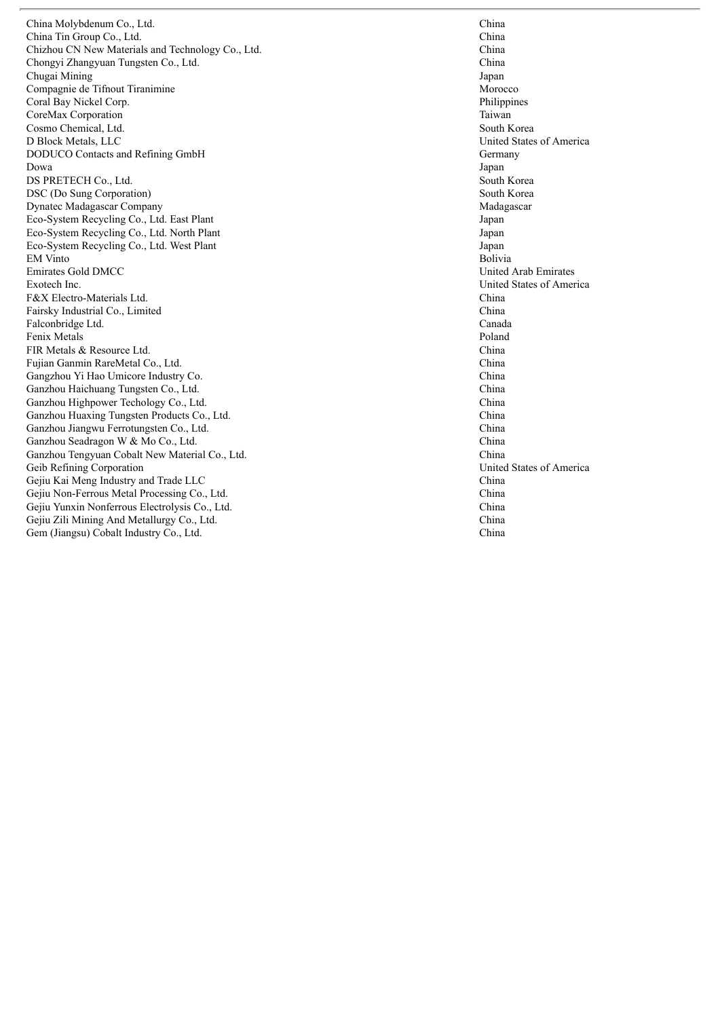China Molybdenum Co., Lto d. Channels are the contract of the contract of the contract of the contract of the contract of the contract of the contract of the contract of the contract of the contract of the contract of the contract of the contract o China Tin Group Co., Lto d. Channels are contained as the contact of the contact of the contact of the contact of the contact of the contact of the contact of the contact of the contact of the contact of the contact of the contact of the contact o Chizhou CN New Materials and Technology Co., Ltd Chongyi Zhangyuan Tungsten Co., Lto d. Channels are the contract of the contract of the contract of the contract of the contract of the contract of the contract of the contract of the contract of the contract of the contract of the contract of the contract o Chugai Mining Compagnie de Tifnout Tiranimine Coral Bay Nickel Cor rp. P CoreMax Corporation Cosmo Chemical, Ltd d. So South that the set of the set of the set of the set of the set of the set of the set of the set of the set of the set of the set of the set of the set of the set of the set of the set of the set of the set of the set D Block Metals, LLC DODUCO Contacts and Refining GmbH D o w a DS PRETECH Co., Ltd d. So South that the state of the state of the state of the state of the state of the state of the state of the state of the state of the state of the state of the state of the state of the state of the state of the state DSC (Do Sung Corporation) Dynatec Madagascar Company Eco-System Recycling Co., Ltd. East Plant Eco-System Recycling Co., Ltd. North Plant Eco-System Recycling Co., Ltd. West Plant EM Vinto Emirates Gold DMCC Exotech Inc c. Under the contract of the contract of the contract of the contract of the contract of the contract of the contract of the contract of the contract of the contract of the contract of the contract of the contract of the c F&X Electro-Materials Ltd d. Channels are contained as the contact of the contact of the contact of the contact of the contact of the contact of the contact of the contact of the contact of the contact of the contact of the contact of the contact o Fairsky Industrial Co., Limited Falconbridge Ltd d. Canada and Canada and Canada and Canada and Canada and Canada and Canada and Canada and Canada and Canada and Canada and Canada and Canada and Canada and Canada and Canada and Canada and Canada and Canada and Canada and Fenix Metals FIR Metals & Resource Lt d. Channels are the contract of the contract of the contract of the contract of the contract of the contract of the contract of the contract of the contract of the contract of the contract of the contract of the contract o Fujian Ganmin RareMetal Co., Lto d. Channels are the contract of the contract of the contract of the contract of the contract of the contract of the contract of the contract of the contract of the contract of the contract of the contract of the contract o Gangzhou Yi Hao Umicore Industry Co o. Ch Ganzhou Haichuang Tungsten Co., Lto d. Channels are the contract of the contract of the contract of the contract of the contract of the contract of the contract of the contract of the contract of the contract of the contract of the contract of the contract o Ganzhou Highpower Techology Co., Ltd d. Channels and contact the contact of the contact of the contact of the contact of the contact of the contact of the contact of the contact of the contact of the contact of the contact of the contact of the contact of the Ganzhou Huaxing Tungsten Products Co., Lto d. Channels and the contract of the contract of the contract of the contract of the contract of the contract of the contract of the contract of the contract of the contract of the contract of the contract of the contract o Ganzhou Jiangwu Ferrotungsten Co., Lto d. Channels and contact the contact of the contact of the contact of the contact of the contact of the contact of the contact of the contact of the contact of the contact of the contact of the contact of the contact of the Ganzhou Seadragon W & Mo Co., Ltd d. Channels are the contract of the contract of the contract of the contract of the contract of the contract of the contract of the contract of the contract of the contract of the contract of the contract of the contract o Ganzhou Tengyuan Cobalt New Material Co., Lto Geib Refining Corporation Gejiu Kai Meng Industry and Trade LLC Gejiu Non-Ferrous Metal Processing Co., Lto d. Channels and contact the contact of the contact of the contact of the contact of the contact of the contact of the contact of the contact of the contact of the contact of the contact of the contact of the contact of the Gejiu Yunxin Nonferrous Electrolysis Co., Ltd d. Channels and contact the contact of the contact of the contact of the contact of the contact of the contact of the contact of the contact of the contact of the contact of the contact of the contact of the contact of the Gejiu Zili Mining And Metallurgy Co., Lto d. Channels and contact the contact of the contact of the contact of the contact of the contact of the contact of the contact of the contact of the contact of the contact of the contact of the contact of the contact of the Gem (Jiangsu) Cobalt Industry Co., Ltd d. Channels are the contract of the contract of the contract of the contract of the contract of the contract of the contract of the contract of the contract of the contract of the contract of the contract of the contract o

h i n a h i n a d. Channels and Channels Channels Channels Channels Channels Channels Channels Channels Channels Channels Channels Channels Channels Channels Channels Channels Channels Channels Channels Channels Channels Channels Channels h i n a h i n a **Japan** Morocco hilippines Taiwan outh Korea United States of America Germany **Japan** outh Korea South Korea Madagascar **Japan Japan Japan Bolivia** United Arab Emirates nited States of America h i n a China a n a d a Poland h i n a h i n a h i n a h i n a h i n a h i n a h i n a h i n a d. Charles the contract of the contract of the contract of the contract of the contract of the contract of the contract of the contract of the contract of the contract of the contract of the contract of the contract of the h i n a United States of America China h i n a h i n a h i n a h i n a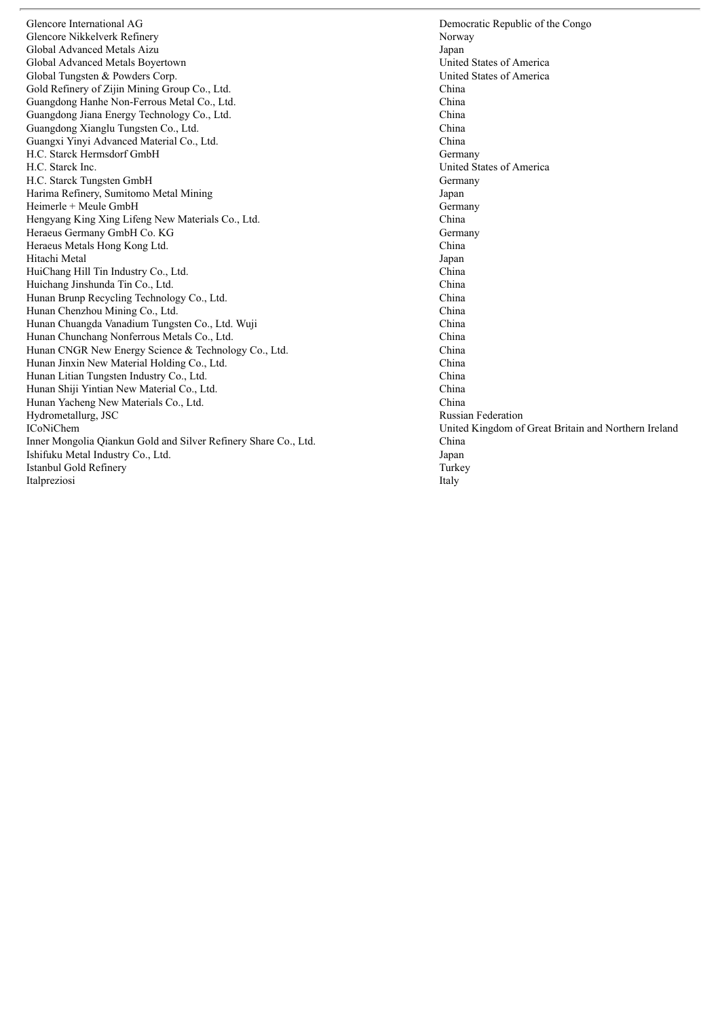Glencore International AG Democratic Republic of the Congo Glencore Nikkelverk Refinery Norway Norway Norway Norway Norway Norway Norway Norway Norway Norway Norway Norway Global Advanced Metals Aizu<br>
Global Advanced Metals Bovertown<br>
United States of America Global Advanced Metals Boyertown Global Tungsten & Powders Corp.<br>
Gold Refinery of Zijin Mining Group Co. Ltd.<br>
China Cold Refinery of Zijin Mining Group Co. Ltd. Gold Refinery of Zijin Mining Group Co., Ltd. Guangdong Hanhe Non-Ferrous Metal Co., Ltd. China Guangdong Jiana Energy Technology Co., Ltd. China China China China China China China China China China China China China China China China China China China China China China China China China China China China China Chin Guangdong Xianglu Tungsten Co., Ltd. China Guangxi Yinyi Advanced Material Co., Ltd. China China China China China China China China China China China China China China China China China China China China China China China China China China China China China China H.C. Starck Hermsdorf GmbH H.C. Starck Inc. United States of America H.C. Starck Tungsten GmbH Germany Harima Refinery, Sumitomo Metal Mining Japan Heimerle + Meule GmbH<br>
Hengyang King Xing Lifeng New Materials Co., Ltd.<br>
China Hengyang King Xing Lifeng New Materials Co., Ltd. China China China Cermany GmbH Co. KG Germany Heraeus Germany GmbH Co. KG Heraeus Metals Hong Kong Ltd. China Hitachi Metal HuiChang Hill Tin Industry Co., Ltd. China Huichang Jinshunda Tin Co., Ltd. China Hunan Brunp Recycling Technology Co., Ltd. China Hunan Chenzhou Mining Co., Ltd.<br>Hunan Chuangda Vanadium Tungsten Co., Ltd. Wuii China China China China Hunan Chuangda Vanadium Tungsten Co., Ltd. Wuji Hunan Chunchang Nonferrous Metals Co., Ltd. China<br>Hunan CNGR New Energy Science & Technology Co., Ltd. China Hunan CNGR New Energy Science & Technology Co., Ltd. Hunan Jinxin New Material Holding Co., Ltd. China Hunan Litian Tungsten Industry Co., Ltd. China<br>
Hunan Shiii Yintian New Material Co. Ltd China Hunan Shiji Yintian New Material Co., Ltd. Hunan Yacheng New Materials Co., Ltd. China Hydrometallurg, JSC Russian Federation ICoNiChem United Kingdom of Great Britain and Northern Ireland Inner Mongolia Qiankun Gold and Silver Refinery Share Co., Ltd. China Ishifuku Metal Industry Co., Ltd. Japan Istanbul Gold Refinery Turkey Italpreziosi **Italy**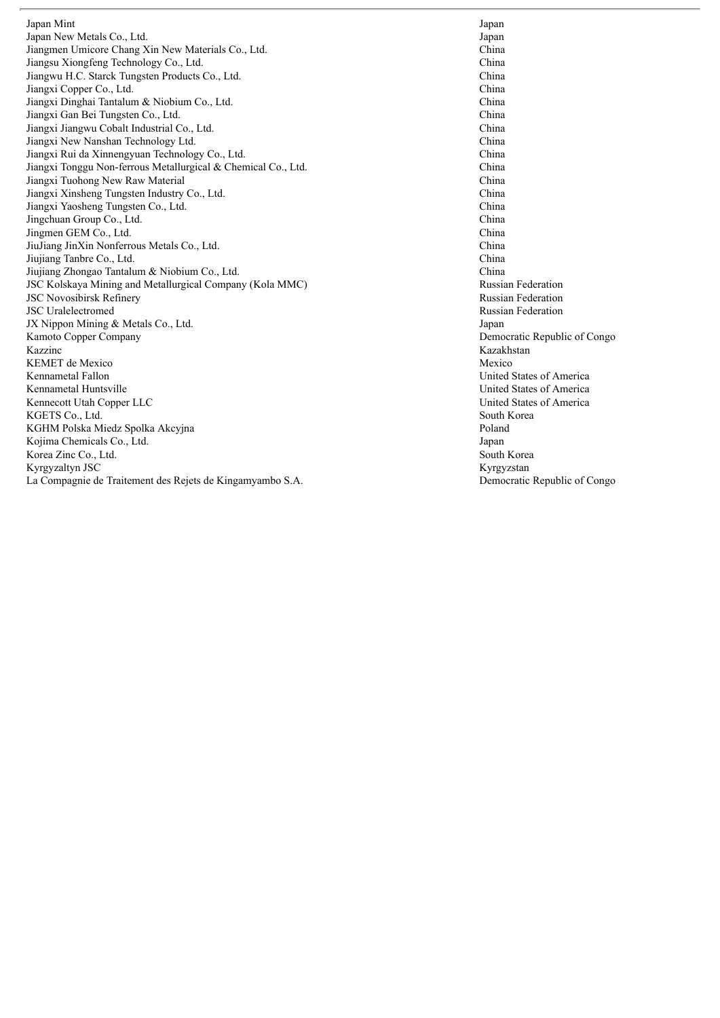Japan Mint Japan New Metals Co., Ltd  $d.$ Jiangmen Umicore Chang Xin New Materials Co., Ltd d. Channels and Channels Channels Channels Channels Channels Channels Channels Channels Channels Channels Channels Channels Channels Channels Channels Channels Channels Channels Channels Channels Channels Channels Channels Jiangsu Xiongfeng Technology Co., Ltd d. Channels are the contract of the contract of the contract of the contract of the contract of the contract of the contract of the contract of the contract of the contract of the contract of the contract of the contract o Jiangwu H.C. Starck Tungsten Products Co., Lto d. Channels and Channels Channels Channels Channels Channels Channels Channels Channels Channels Channels Channels Channels Channels Channels Channels Channels Channels Channels Channels Channels Channels Channels Channels Jiangxi Copper Co., Lto d. Channels are the contract of the contract of the contract of the contract of the contract of the contract of the contract of the contract of the contract of the contract of the contract of the contract of the contract o Jiangxi Dinghai Tantalum & Niobium Co., Lto d. Channels and contact the contact of the contact of the contact of the contact of the contact of the contact of the contact of the contact of the contact of the contact of the contact of the contact of the contact of the Jiangxi Gan Bei Tungsten Co., Lto d. Channels are the contract of the contract of the contract of the contract of the contract of the contract of the contract of the contract of the contract of the contract of the contract of the contract of the contract o Jiangxi Jiangwu Cobalt Industrial Co., Lt d. Channels and contact the contact of the contact of the contact of the contact of the contact of the contact of the contact of the contact of the contact of the contact of the contact of the contact of the contact of the Jiangxi New Nanshan Technology Lto d. Channels and contact the contact of the contact of the contact of the contact of the contact of the contact of the contact of the contact of the contact of the contact of the contact of the contact of the contact of the Jiangxi Rui da Xinnengyuan Technology Co., Lto d. Channels are the contract of the contract of the contract of the contract of the contract of the contract of the contract of the contract of the contract of the contract of the contract of the contract of the contract o Jiangxi Tonggu Non-ferrous Metallurgical & Chemical Co., Ltd d. Ch Jiangxi Tuohong New Raw Material Jiangxi Xinsheng Tungsten Industry Co., Lto d. Channels and contact the contact of the contact of the contact of the contact of the contact of the contact of the contact of the contact of the contact of the contact of the contact of the contact of the contact of the Jiangxi Yaosheng Tungsten Co., Lto d. Channels are the contract of the contract of the contract of the contract of the contract of the contract of the contract of the contract of the contract of the contract of the contract of the contract of the contract o Jingchuan Group Co., Lto d. Channels are the contract of the contract of the contract of the contract of the contract of the contract of the contract of the contract of the contract of the contract of the contract of the contract of the contract o Jingmen GEM Co., Ltd d. Channels are the contract of the contract of the contract of the contract of the contract of the contract of the contract of the contract of the contract of the contract of the contract of the contract of the contract o JiuJiang JinXin Nonferrous Metals Co., Lto d. Channels and contact the contact of the contact of the contact of the contact of the contact of the contact of the contact of the contact of the contact of the contact of the contact of the contact of the contact of the Jiujiang Tanbre Co., Lt d. Channels are the contract of the contract of the contract of the contract of the contract of the contract of the contract of the contract of the contract of the contract of the contract of the contract of the contract o Jiujiang Zhongao Tantalum & Niobium Co., Lto d. Channels and the contract of the contract of the contract of the contract of the contract of the contract of the contract of the contract of the contract of the contract of the contract of the contract of the contract o JSC Kolskaya Mining and Metallurgical Company (Kola MMC) JSC Novosibirsk Refinery JSC Uralelectromed JX Nippon Mining & Metals Co., Ltd d. January 1986. The set of the set of the set of the set of the set of the set of the set of the set of the set of the set of the set of the set of the set of the set of the set of the set of the set of the set of the set Kamoto Copper Company Kazzinc KEMET de Mexico Kennametal Fallon Kennametal Huntsville Kennecott Utah Copper LLC KGETS Co., Lt d. So we have a set of the set of the set of the set of the set of the set of the set of the set of the set of the set of the set of the set of the set of the set of the set of the set of the set of the set of the set of t KGHM Polska Miedz Spolka Akcyjna Kojima Chemicals Co., Ltd  $d.$ Korea Zinc Co., Lto d.  $S<sub>C</sub>$ Kyrgyzaltyn JSC La Compagnie de Traitement des Rejets de Kingamyambo S.A. De

**Japan** ap a n h i n a h i n a h i n a h i n a h i n a h i n a h i n a h i n a h i n a h i n a China h i n a h i n a h i n a h i n a h i n a h i n a h i n a Russian Federation Russian Federation Russian Federation ap a n Democratic Republic of Congo Kazakhstan Mexico United States of America United States of America United States of America outh Korea Poland ap a n outh Korea Kyrgyzstan emocratic Republic of Congo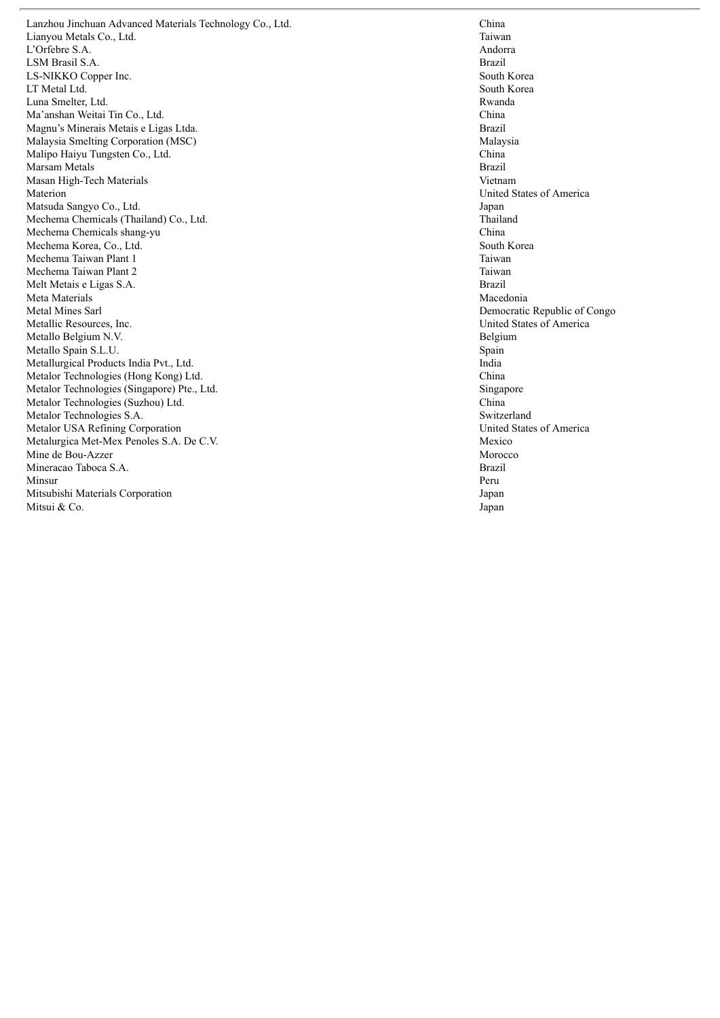Lanzhou Jinchuan Advanced Materials Technology Co., Ltd Lianyou Metals Co., Ltd d. Tai L'Orfebre S.A. Architecture of the state of the state of the state of the state of the state of the state of the state of the state of the state of the state of the state of the state of the state of the state of the state of the st LSM Brasil S.A. Branch and the state of the state of the state of the state of the state of the state of the state of the state of the state of the state of the state of the state of the state of the state of the state of the state o LS-NIKKO Copper Ind c.  $S<sub>c</sub>$ LT Metal Lt d. So we have a set of the set of the set of the set of the set of the set of the set of the set of the set of the set of the set of the set of the set of the set of the set of the set of the set of the set of the set of t Luna Smelter, Lt d. Rwa Ma'anshan Weitai Tin Co., Lto d. Channels are the contract of the contract of the contract of the contract of the contract of the contract of the contract of the contract of the contract of the contract of the contract of the contract of the contract o Magnu's Minerais Metais e Ligas Ltda a. Br Malaysia Smelting Corporation (MSC) Malipo Haiyu Tungsten Co., Lto d. Channels are the contract of the contract of the contract of the contract of the contract of the contract of the contract of the contract of the contract of the contract of the contract of the contract of the contract o Marsam Metals Masan High-Tech Materials Materion Matsuda Sangyo Co., Lto d.  $J_{\delta}$ Mechema Chemicals (Thailand) Co., Ltd d. The contract of the contract of the contract of the contract of the contract of the contract of the contract of the contract of the contract of the contract of the contract of the contract of the contract of the contrac Mechema Chemicals shang-yu Mechema Korea, Co., Ltd d. So Solution Section 2. So Solution 3. So Solution 3. So Solution 3. So Solution 3. So Solution 3. So Solution 3. So Solution 3. So Solution 3. So Solution 3. So Solution 3. So Solution 3. So Solution 3. So Solution 3. S Mechema Taiwan Plant 1 Mechema Taiwan Plant 2 Melt Metais e Ligas S.A. Br Meta Materials Metal Mines Sarl Metallic Resources, Ind c. Metallo Belgium N.V. Because the state of the state of the state of the state of the state of the state of the state of the state of the state of the state of the state of the state of the state of the state of the state of the state of t Metallo Spain S.L.U. S Metallurgical Products India Pvt., Ltd d. In the set of the set of the set of the set of the set of the set of the set of the set of the set of the set of the set of the set of the set of the set of the set of the set of the set of the set of the set of the set Metalor Technologies (Hong Kong) Ltd d. Channels and contact the contact of the contact of the contact of the contact of the contact of the contact of the contact of the contact of the contact of the contact of the contact of the contact of the contact of the Metalor Technologies (Singapore) Pte., Ltd d. Si Metalor Technologies (Suzhou) Ltd d. Channels and containing the contact of the contact of the contact of the contact of the contact of the contact of the contact of the contact of the contact of the contact of the contact of the contact of the contact of Metalor Technologies S.A. Solution is strong set of the strategy strategy strategy strategy strategy strategy strategy strategy strategy strategy strategy strategy strategy strategy strategy strategy strategy strategy strategy strategy strateg Metalor USA Refining Corporation Metalurgica Met-Mex Penoles S.A. De C.V. Me Mine de Bou-Azzer Mineracao Taboca S.A. Br Minsur Mitsubishi Materials Corporation Mitsui & Co o. Since the contract of the contract of the contract of the contract of the contract of the contract of the contract of the contract of the contract of the contract of the contract of the contract of the contract of the c

d. Ch h i n a i w a n ndorra r a z i l outh Korea outh Korea a n d a h i n a r a z i l Malaysia h i n a **Brazil** Vietnam United States of America ap a n hailand China outh Korea Taiwan Taiwan r a z i l Macedonia Democratic Republic of Congo nited States of America elgium pain n d i a h i n a ingapore h i n a witzerland United States of America exico Morocco r a z i l Peru **Japan** ap a n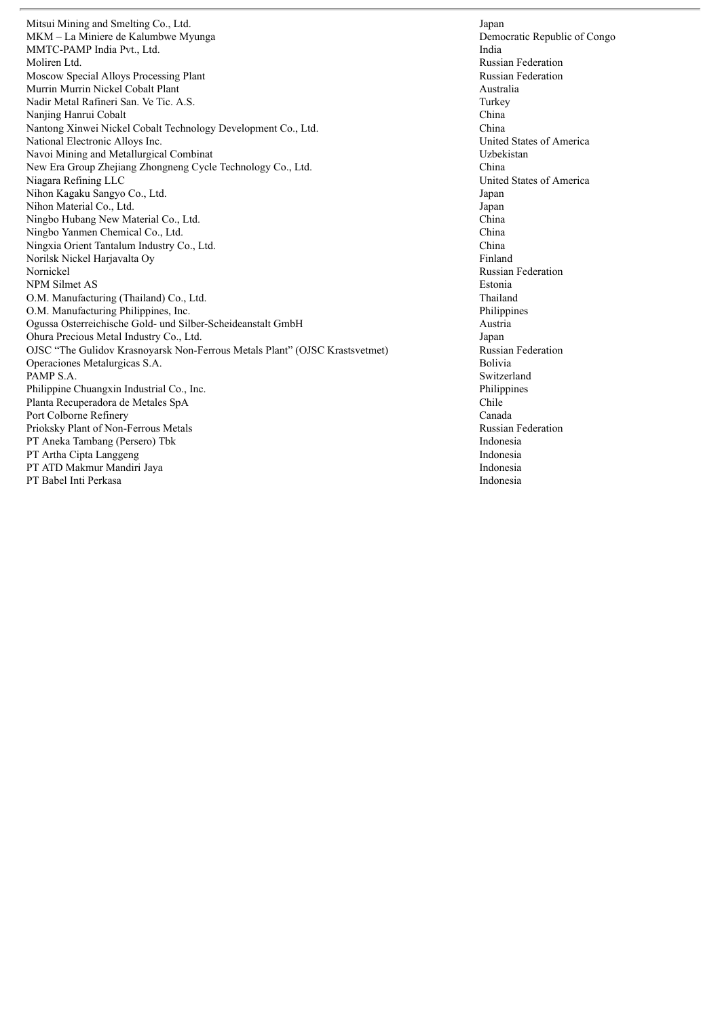Mitsui Mining and Smelting Co., Ltd.<br>
MKM – La Miniere de Kalumbwe Myunga<br>
Oemocratic Republic of Congo MKM – La Miniere de Kalumbwe Myunga MMTC-PAMP India Pvt., Ltd. India 2008. India 2008. India 2008. India 2008. India 2008. India 2008. India 2008. India 2008. India 2008. India 2008. India 2008. India 2008. India 2008. India 2008. In the USS of the USS of th Moscow Special Alloys Processing Plant and Australia and Australia Russian Federation<br>
Murrin Murrin Nickel Cobalt Plant and Australia Murrin Murrin Nickel Cobalt Plant Nadir Metal Rafineri San. Ve Tic. A.S. Turkey Nanjing Hanrui Cobalt<br>Nantong Xinwei Nickel Cobalt Technology Development Co., Ltd. 6. 1998 - China Nantong Xinwei Nickel Cobalt Technology Development Co., Ltd. China China China China National Electronic Allovs Inc. China National Electronic Allovs Inc. National Electronic Alloys Inc.<br>
Navoi Mining and Metallurgical Combinat<br>
Uzbekistan<br>
Uzbekistan Navoi Mining and Metallurgical Combinat New Era Group Zhejiang Zhongneng Cycle Technology Co., Ltd. China Niagara Refining LLC United States of America Nihon Kagaku Sangyo Co., Ltd. Japan Nihon Material Co., Ltd. Japan<br>
Ningbo Hubang New Material Co., Ltd. China Ningbo Hubang New Material Co., Ltd. Ningbo Yanmen Chemical Co., Ltd. China Ningxia Orient Tantalum Industry Co., Ltd.<br>
Norilsk Nickel Harjavalta Ov Norilsk Nickel Harjavalta Oy Nornickel Russian Federation NPM Silmet AS Estonia O.M. Manufacturing (Thailand) Co., Ltd. Thailand O.M. Manufacturing Philippines, Inc.<br>
Ogussa Osterreichische Gold- und Silber-Scheideanstalt GmbH<br>
Austria Ogussa Osterreichische Gold- und Silber-Scheideanstalt GmbH Ohura Precious Metal Industry Co., Ltd.<br>
OJSC "The Gulidov Krasnovarsk Non-Ferrous Metals Plant" (OJSC Krastsvetmet) Russian Federation OJSC "The Gulidov Krasnoyarsk Non-Ferrous Metals Plant" (OJSC Krastsvetmet) Operaciones Metalurgicas S.A. Bolivia PAMP S.A. Switzerland Philippine Chuangxin Industrial Co., Inc. Philippines Planta Recuperadora de Metales SpA Chile Port Colborne Refinery Canada Prioksky Plant of Non-Ferrous Metals Russian Federation PT Aneka Tambang (Persero) Tbk Indonesia PT Artha Cipta Langgeng Indonesia PT ATD Makmur Mandiri Jaya **Indonesia** Indonesia PT Babel Inti Perkasa Indonesia

Russian Federation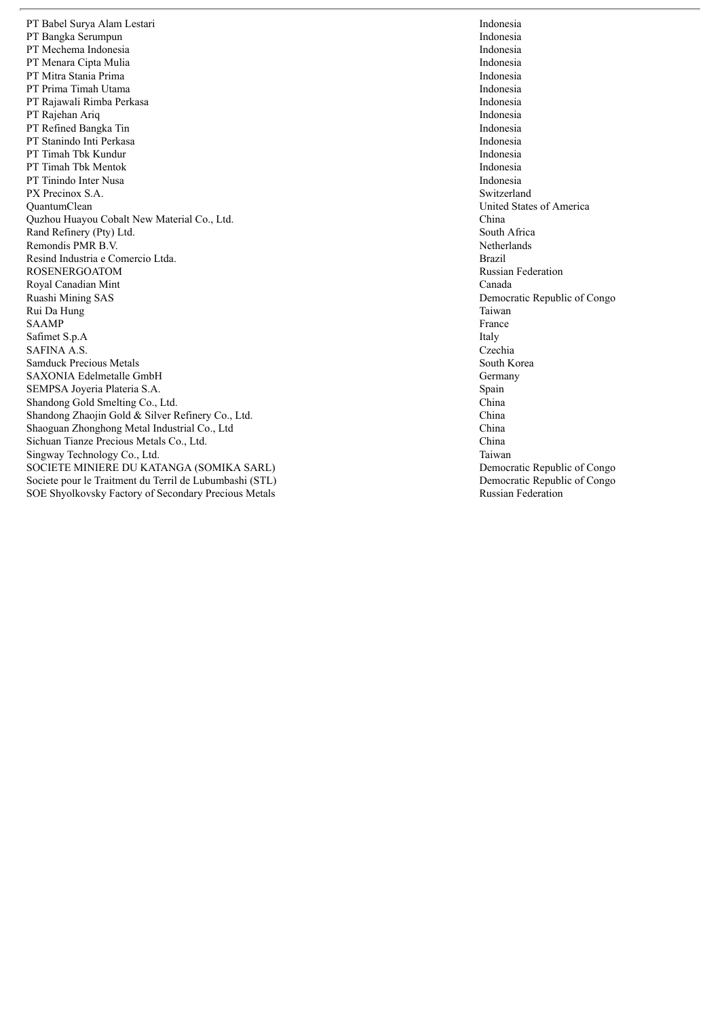PT Babel Surya Alam Lestari PT Bangka Serumpun PT Mechema Indonesia PT Menara Cipta Mulia PT Mitra Stania Prima PT Prima Timah Utama PT Rajawali Rimba Perkasa PT Rajehan Ariq PT Refined Bangka Tin PT Stanindo Inti Perkasa PT Timah Tbk Kundur PT Timah Tbk Mentok PT Tinindo Inter Nusa PX Precinox S.A. S.A. QuantumClean Quzhou Huayou Cobalt New Material Co., Lto d. Channels and contact the contact of the contact of the contact of the contact of the contact of the contact of the contact of the contact of the contact of the contact of the contact of the contact of the contact of the Rand Refinery (Pty) Ltd d. So  $S<sub>c</sub>$ Remondis PMR B.V. New York 1988, the contract of the contract of the contract of the contract of the contract of the contract of the contract of the contract of the contract of the contract of the contract of the contract of the contra Resind Industria e Comercio Ltda a. Br ROSENERGOATOM Royal Canadian Mint Ruashi Mining SAS Rui Da Hung S A A M P S a fi m e t S.p.A S A F I N A A.S. Cz Samduck Precious Metals SAXONIA Edelmetalle GmbH SEMPSA Joyeria Plateria S.A. Special state of the state of the state state state state state state state state state state state state state state state state state state state state state state state state state state state state state state sta Shandong Gold Smelting Co., Ltd d. Channels are the contract of the contract of the contract of the contract of the contract of the contract of the contract of the contract of the contract of the contract of the contract of the contract of the contract o Shandong Zhaojin Gold & Silver Refinery Co., Ltd d. Channels and the contract of the contract of the contract of the contract of the contract of the contract of the contract of the contract of the contract of the contract of the contract of the contract of the contract o Shaoguan Zhonghong Metal Industrial Co., Ltd Sichuan Tianze Precious Metals Co., Ltd d. Channels are the contract of the contract of the contract of the contract of the contract of the contract of the contract of the contract of the contract of the contract of the contract of the contract of the contract o Singway Technology Co., Ltd d. Tai SOCIETE MINIERE DU KATANGA (SOMIKA SARL) Societe pour le Traitment du Terril de Lubumbashi (STL) SOE Shyolkovsky Factory of Secondary Precious Metals

Indonesia Indonesia Indonesia Indonesia Indonesia Indonesia Indonesia Indonesia Indonesia Indonesia Indonesia Indonesia Indonesia witzerland United States of America h i n a outh Africa etherlands r a z i l Russian Federation Canada Democratic Republic of Congo Taiwan France Italy zechia South Korea Germany pain h i n a h i n a China h i n a i w a n Democratic Republic of Congo Democratic Republic of Congo Russian Federation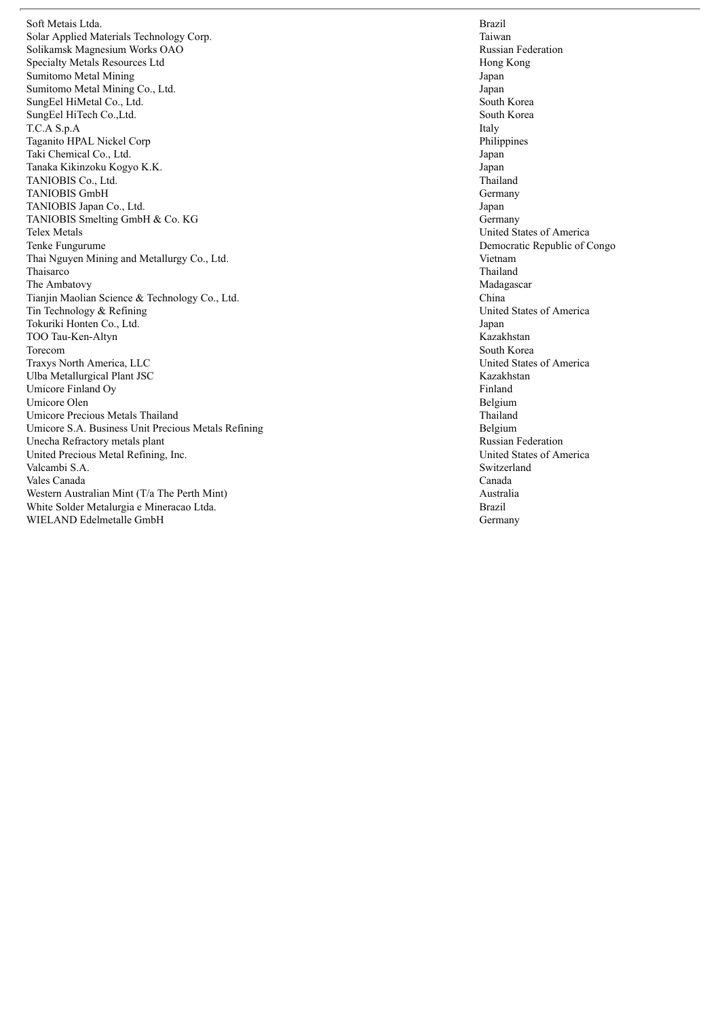Soft Metais Ltda a. Branch and the contract of the contract of the contract of the contract of the contract of the contract of the contract of the contract of the contract of the contract of the contract of the contract of the contract of Solar Applied Materials Technology Cor rp. Tai Solikamsk Magnesium Works OAO Specialty Metals Resources Ltd Sumitomo Metal Mining Sumitomo Metal Mining Co., Lto d.  $J_{\delta}$ SungEel HiMetal Co., Ltd d. So Solution Section 2. So Solution 3. So Solution 3. So Solution 3. So Solution 3. So Solution 3. So Solution 3. So Solution 3. So Solution 3. So Solution 3. So Solution 3. So Solution 3. So Solution 3. So Solution 3. S SungEel HiTech Co.,Ltd d. So  $S<sub>c</sub>$ T.C.A S.p.A Taganito HPAL Nickel Corp Taki Chemical Co., Lt d.  $J_{\delta}$ Tanaka Kikinzoku Kogyo K.K. January 1988. The set of the set of the set of the set of the set of the set of the set of the set of the set of the set of the set of the set of the set of the set of the set of the set of the set of the set of the s TANIOBIS Co., Ltd d. The contract of the contract of the contract of the contract of the contract of the contract of the contract of the contract of the contract of the contract of the contract of the contract of the contract of the contrac TANIOBIS GmbH TANIOBIS Japan Co., Lto d.  $J_{\delta}$ TANIOBIS Smelting GmbH & Co. KG Telex Metals Tenke Fungurume Thai Nguyen Mining and Metallurgy Co., Lto d. Vi Thaisarco The Ambatovy Tianjin Maolian Science & Technology Co., Ltd d. Channels and contact the contact of the contact of the contact of the contact of the contact of the contact of the contact of the contact of the contact of the contact of the contact of the contact of the contact of the Tin Technology & Refining Tokuriki Honten Co., Lto  $d.$ TOO Tau-Ken-Altyn Torecom Traxys North America, LLC Ulba Metallurgical Plant JSC Umicore Finland Oy Umicore Olen Umicore Precious Metals Thailand Umicore S.A. Business Unit Precious Metals Refining Unecha Refractory metals plant United Precious Metal Refining, Ind c. Un Valcambi S.A. S.A. Vales Canada Western Australian Mint (T/a The Perth Mint) White Solder Metalurgia e Mineracao Ltda a. Br WIELAND Edelmetalle GmbH

r a z i l i w a n Russian Federation Hong Kong **Japan** ap a n outh Korea outh Korea Italy Philippines ap a n ap a n hailand Germany ap a n Germany United States of America Democratic Republic of Congo e t n a m Thailand Madagascar h i n a United States of America ap a n Kazakhstan South Korea United States of America Kazakhstan Finland **Belgium** Thailand Belgium Russian Federation nited States of America witzerland Canada Australia r a z i l Germany